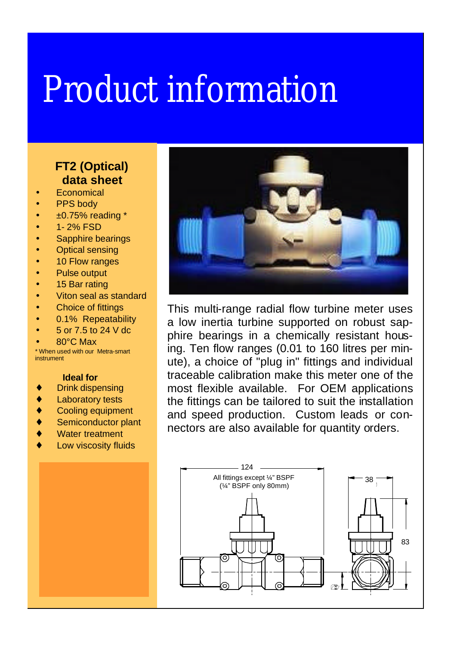## Product information

## **FT2 (Optical) data sheet**

- **Economical**
- PPS body
- $\bullet$   $\pm$ 0.75% reading  $*$
- 1-2% FSD
- Sapphire bearings
- Optical sensing
- 10 Flow ranges
- Pulse output
- 15 Bar rating
- Viton seal as standard
- **Choice of fittings**
- 0.1% Repeatability
- 5 or 7.5 to 24 V dc
- 80°C Max

\* When used with our Metra-smart instrument

## **Ideal for**

- ♦ Drink dispensing
- ♦ Laboratory tests
- ♦ Cooling equipment
- Semiconductor plant
- Water treatment
- Low viscosity fluids



This multi-range radial flow turbine meter uses a low inertia turbine supported on robust sapphire bearings in a chemically resistant housing. Ten flow ranges (0.01 to 160 litres per minute), a choice of "plug in" fittings and individual traceable calibration make this meter one of the most flexible available. For OEM applications the fittings can be tailored to suit the installation and speed production. Custom leads or connectors are also available for quantity orders.